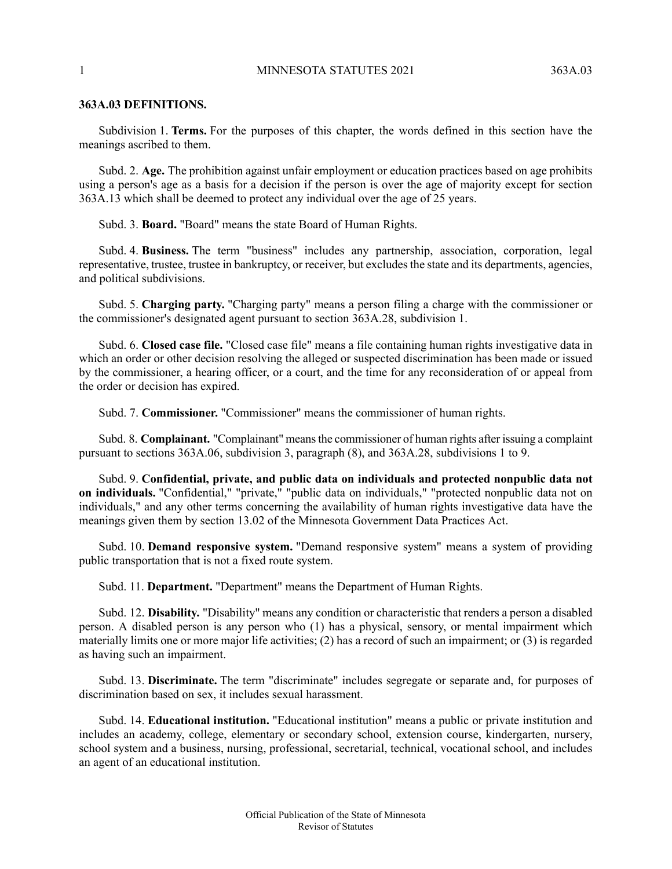## **363A.03 DEFINITIONS.**

Subdivision 1. **Terms.** For the purposes of this chapter, the words defined in this section have the meanings ascribed to them.

Subd. 2. **Age.** The prohibition against unfair employment or education practices based on age prohibits using a person's age as a basis for a decision if the person is over the age of majority except for section 363A.13 which shall be deemed to protect any individual over the age of 25 years.

Subd. 3. **Board.** "Board" means the state Board of Human Rights.

Subd. 4. **Business.** The term "business" includes any partnership, association, corporation, legal representative, trustee, trustee in bankruptcy, or receiver, but excludes the state and its departments, agencies, and political subdivisions.

Subd. 5. **Charging party.** "Charging party" means a person filing a charge with the commissioner or the commissioner's designated agent pursuant to section 363A.28, subdivision 1.

Subd. 6. **Closed case file.** "Closed case file" means a file containing human rights investigative data in which an order or other decision resolving the alleged or suspected discrimination has been made or issued by the commissioner, a hearing officer, or a court, and the time for any reconsideration of or appeal from the order or decision has expired.

Subd. 7. **Commissioner.** "Commissioner" means the commissioner of human rights.

Subd. 8. **Complainant.** "Complainant" meansthe commissioner of human rights after issuing a complaint pursuant to sections 363A.06, subdivision 3, paragraph (8), and 363A.28, subdivisions 1 to 9.

Subd. 9. **Confidential, private, and public data on individuals and protected nonpublic data not on individuals.** "Confidential," "private," "public data on individuals," "protected nonpublic data not on individuals," and any other terms concerning the availability of human rights investigative data have the meanings given them by section 13.02 of the Minnesota Government Data Practices Act.

Subd. 10. **Demand responsive system.** "Demand responsive system" means a system of providing public transportation that is not a fixed route system.

Subd. 11. **Department.** "Department" means the Department of Human Rights.

Subd. 12. **Disability.** "Disability" means any condition or characteristic that renders a person a disabled person. A disabled person is any person who (1) has a physical, sensory, or mental impairment which materially limits one or more major life activities; (2) has a record of such an impairment; or (3) is regarded as having such an impairment.

Subd. 13. **Discriminate.** The term "discriminate" includes segregate or separate and, for purposes of discrimination based on sex, it includes sexual harassment.

Subd. 14. **Educational institution.** "Educational institution" means a public or private institution and includes an academy, college, elementary or secondary school, extension course, kindergarten, nursery, school system and a business, nursing, professional, secretarial, technical, vocational school, and includes an agent of an educational institution.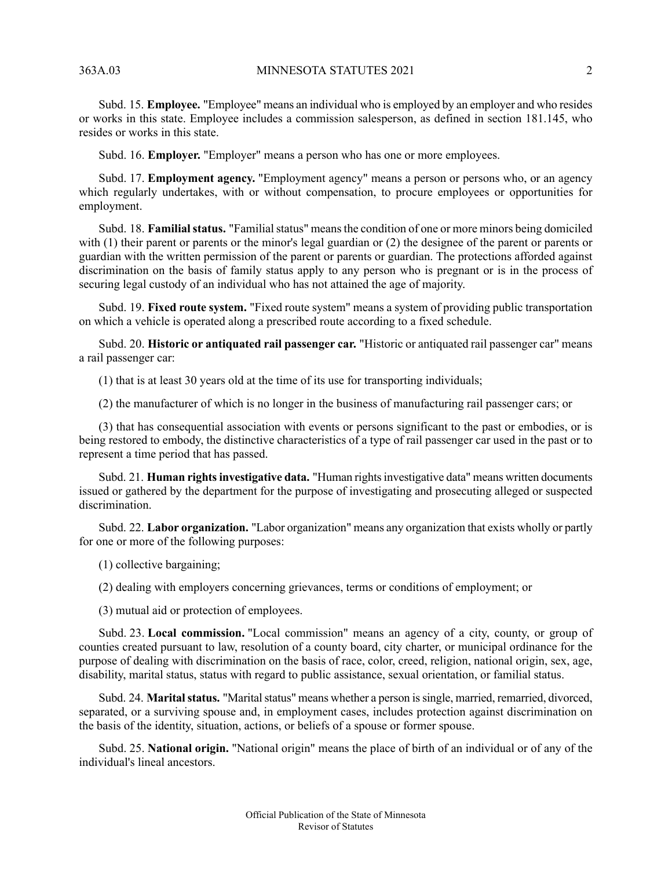Subd. 15. **Employee.** "Employee" means an individual who is employed by an employer and who resides or works in this state. Employee includes a commission salesperson, as defined in section 181.145, who resides or works in this state.

Subd. 16. **Employer.** "Employer" means a person who has one or more employees.

Subd. 17. **Employment agency.** "Employment agency" means a person or persons who, or an agency which regularly undertakes, with or without compensation, to procure employees or opportunities for employment.

Subd. 18. **Familial status.** "Familial status" means the condition of one or more minors being domiciled with (1) their parent or parents or the minor's legal guardian or (2) the designee of the parent or parents or guardian with the written permission of the parent or parents or guardian. The protections afforded against discrimination on the basis of family status apply to any person who is pregnant or is in the process of securing legal custody of an individual who has not attained the age of majority.

Subd. 19. **Fixed route system.** "Fixed route system" means a system of providing public transportation on which a vehicle is operated along a prescribed route according to a fixed schedule.

Subd. 20. **Historic or antiquated rail passenger car.** "Historic or antiquated rail passenger car" means a rail passenger car:

(1) that is at least 30 years old at the time of its use for transporting individuals;

(2) the manufacturer of which is no longer in the business of manufacturing rail passenger cars; or

(3) that has consequential association with events or persons significant to the past or embodies, or is being restored to embody, the distinctive characteristics of a type of rail passenger car used in the past or to represent a time period that has passed.

Subd. 21. **Human rightsinvestigative data.** "Human rightsinvestigative data" means written documents issued or gathered by the department for the purpose of investigating and prosecuting alleged or suspected discrimination.

Subd. 22. **Labor organization.** "Labor organization" means any organization that exists wholly or partly for one or more of the following purposes:

(1) collective bargaining;

(2) dealing with employers concerning grievances, terms or conditions of employment; or

(3) mutual aid or protection of employees.

Subd. 23. **Local commission.** "Local commission" means an agency of a city, county, or group of counties created pursuant to law, resolution of a county board, city charter, or municipal ordinance for the purpose of dealing with discrimination on the basis of race, color, creed, religion, national origin, sex, age, disability, marital status, status with regard to public assistance, sexual orientation, or familial status.

Subd. 24. Marital status. "Marital status" means whether a person is single, married, remarried, divorced, separated, or a surviving spouse and, in employment cases, includes protection against discrimination on the basis of the identity, situation, actions, or beliefs of a spouse or former spouse.

Subd. 25. **National origin.** "National origin" means the place of birth of an individual or of any of the individual's lineal ancestors.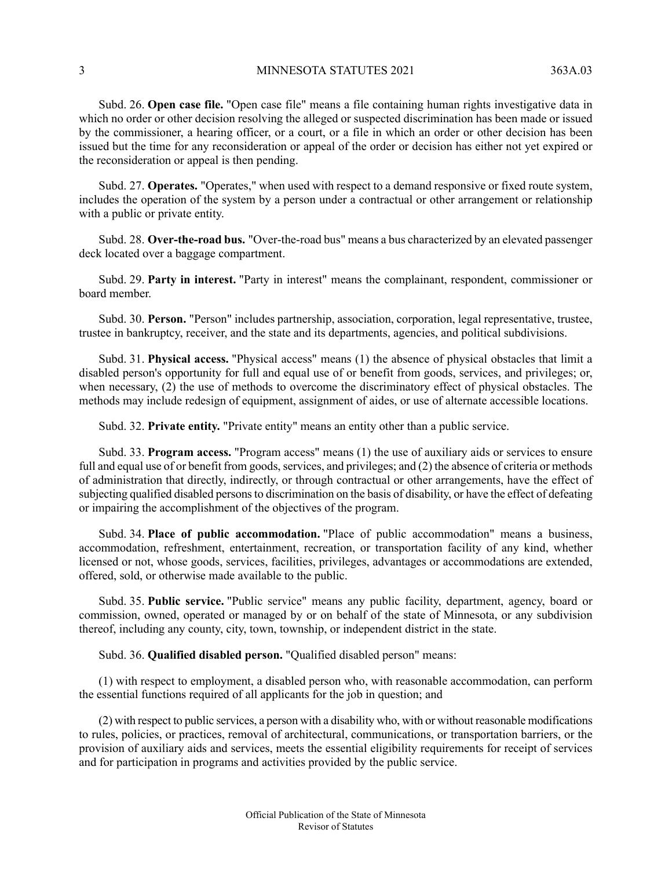Subd. 26. **Open case file.** "Open case file" means a file containing human rights investigative data in which no order or other decision resolving the alleged or suspected discrimination has been made or issued by the commissioner, a hearing officer, or a court, or a file in which an order or other decision has been issued but the time for any reconsideration or appeal of the order or decision has either not yet expired or the reconsideration or appeal is then pending.

Subd. 27. **Operates.** "Operates," when used with respect to a demand responsive or fixed route system, includes the operation of the system by a person under a contractual or other arrangement or relationship with a public or private entity.

Subd. 28. **Over-the-road bus.** "Over-the-road bus" means a bus characterized by an elevated passenger deck located over a baggage compartment.

Subd. 29. **Party in interest.** "Party in interest" means the complainant, respondent, commissioner or board member.

Subd. 30. **Person.** "Person" includes partnership, association, corporation, legal representative, trustee, trustee in bankruptcy, receiver, and the state and its departments, agencies, and political subdivisions.

Subd. 31. **Physical access.** "Physical access" means (1) the absence of physical obstacles that limit a disabled person's opportunity for full and equal use of or benefit from goods, services, and privileges; or, when necessary, (2) the use of methods to overcome the discriminatory effect of physical obstacles. The methods may include redesign of equipment, assignment of aides, or use of alternate accessible locations.

Subd. 32. **Private entity.** "Private entity" means an entity other than a public service.

Subd. 33. **Program access.** "Program access" means (1) the use of auxiliary aids or services to ensure full and equal use of or benefit from goods, services, and privileges; and  $(2)$  the absence of criteria or methods of administration that directly, indirectly, or through contractual or other arrangements, have the effect of subjecting qualified disabled persons to discrimination on the basis of disability, or have the effect of defeating or impairing the accomplishment of the objectives of the program.

Subd. 34. **Place of public accommodation.** "Place of public accommodation" means a business, accommodation, refreshment, entertainment, recreation, or transportation facility of any kind, whether licensed or not, whose goods, services, facilities, privileges, advantages or accommodations are extended, offered, sold, or otherwise made available to the public.

Subd. 35. **Public service.** "Public service" means any public facility, department, agency, board or commission, owned, operated or managed by or on behalf of the state of Minnesota, or any subdivision thereof, including any county, city, town, township, or independent district in the state.

Subd. 36. **Qualified disabled person.** "Qualified disabled person" means:

(1) with respect to employment, a disabled person who, with reasonable accommodation, can perform the essential functions required of all applicants for the job in question; and

(2) with respect to public services, a person with a disability who, with or without reasonable modifications to rules, policies, or practices, removal of architectural, communications, or transportation barriers, or the provision of auxiliary aids and services, meets the essential eligibility requirements for receipt of services and for participation in programs and activities provided by the public service.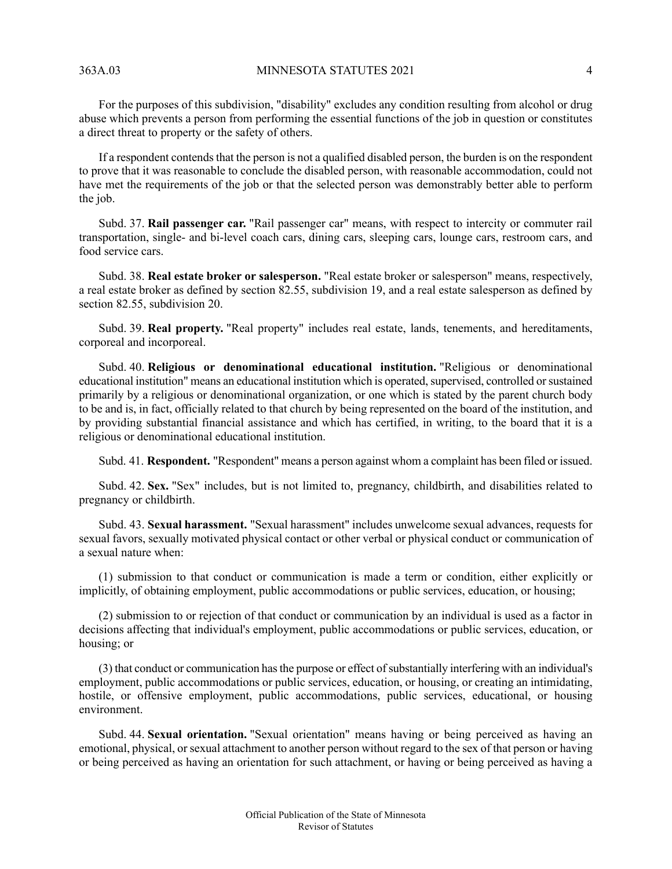For the purposes of this subdivision, "disability" excludes any condition resulting from alcohol or drug abuse which prevents a person from performing the essential functions of the job in question or constitutes a direct threat to property or the safety of others.

If a respondent contends that the person is not a qualified disabled person, the burden is on the respondent to prove that it was reasonable to conclude the disabled person, with reasonable accommodation, could not have met the requirements of the job or that the selected person was demonstrably better able to perform the job.

Subd. 37. **Rail passenger car.** "Rail passenger car" means, with respect to intercity or commuter rail transportation, single- and bi-level coach cars, dining cars, sleeping cars, lounge cars, restroom cars, and food service cars.

Subd. 38. **Real estate broker or salesperson.** "Real estate broker or salesperson" means, respectively, a real estate broker as defined by section 82.55, subdivision 19, and a real estate salesperson as defined by section 82.55, subdivision 20.

Subd. 39. **Real property.** "Real property" includes real estate, lands, tenements, and hereditaments, corporeal and incorporeal.

Subd. 40. **Religious or denominational educational institution.** "Religious or denominational educational institution" means an educational institution which is operated, supervised, controlled or sustained primarily by a religious or denominational organization, or one which is stated by the parent church body to be and is, in fact, officially related to that church by being represented on the board of the institution, and by providing substantial financial assistance and which has certified, in writing, to the board that it is a religious or denominational educational institution.

Subd. 41. **Respondent.** "Respondent" means a person against whom a complaint has been filed or issued.

Subd. 42. **Sex.** "Sex" includes, but is not limited to, pregnancy, childbirth, and disabilities related to pregnancy or childbirth.

Subd. 43. **Sexual harassment.** "Sexual harassment" includes unwelcome sexual advances, requests for sexual favors, sexually motivated physical contact or other verbal or physical conduct or communication of a sexual nature when:

(1) submission to that conduct or communication is made a term or condition, either explicitly or implicitly, of obtaining employment, public accommodations or public services, education, or housing;

(2) submission to or rejection of that conduct or communication by an individual is used as a factor in decisions affecting that individual's employment, public accommodations or public services, education, or housing; or

(3) that conduct or communication hasthe purpose or effect ofsubstantially interfering with an individual's employment, public accommodations or public services, education, or housing, or creating an intimidating, hostile, or offensive employment, public accommodations, public services, educational, or housing environment.

Subd. 44. **Sexual orientation.** "Sexual orientation" means having or being perceived as having an emotional, physical, or sexual attachment to another person without regard to the sex of that person or having or being perceived as having an orientation for such attachment, or having or being perceived as having a